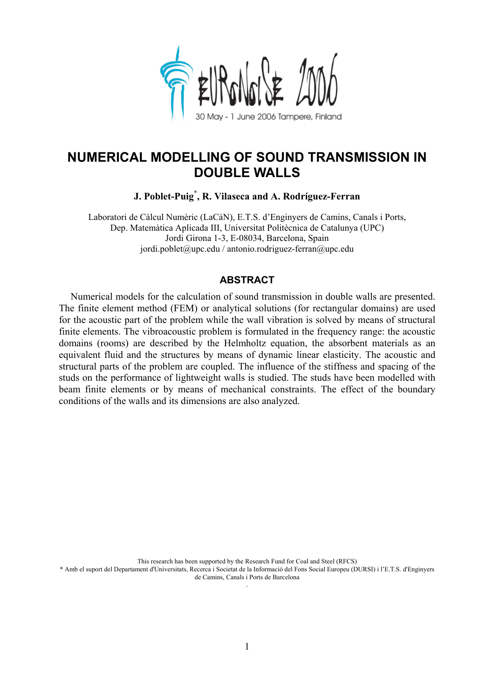

# **NUMERICAL MODELLING OF SOUND TRANSMISSION IN DOUBLE WALLS**

**J. Poblet-Puig\* , R. Vilaseca and A. Rodríguez-Ferran**

Laboratori de Càlcul Numèric (LaCàN), E.T.S. d'Enginyers de Camins, Canals i Ports, Dep. Matemàtica Aplicada III, Universitat Politècnica de Catalunya (UPC) Jordi Girona 1-3, E-08034, Barcelona, Spain jordi.poblet@upc.edu / antonio.rodriguez-ferran@upc.edu

# **ABSTRACT**

Numerical models for the calculation of sound transmission in double walls are presented. The finite element method (FEM) or analytical solutions (for rectangular domains) are used for the acoustic part of the problem while the wall vibration is solved by means of structural finite elements. The vibroacoustic problem is formulated in the frequency range: the acoustic domains (rooms) are described by the Helmholtz equation, the absorbent materials as an equivalent fluid and the structures by means of dynamic linear elasticity. The acoustic and structural parts of the problem are coupled. The influence of the stiffness and spacing of the studs on the performance of lightweight walls is studied. The studs have been modelled with beam finite elements or by means of mechanical constraints. The effect of the boundary conditions of the walls and its dimensions are also analyzed.

This research has been supported by the Research Fund for Coal and Steel (RFCS) \* Amb el suport del Departament d'Universitats, Recerca i Societat de la Informació del Fons Social Europeu (DURSI) i l'E.T.S. d'Enginyers de Camins, Canals i Ports de Barcelona .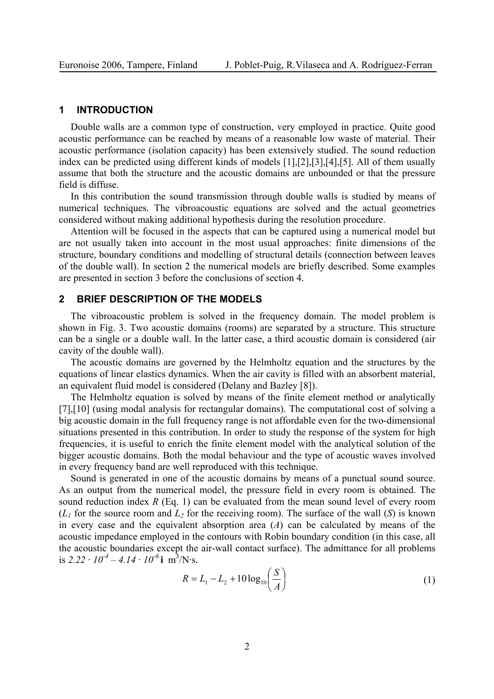#### **1 INTRODUCTION**

Double walls are a common type of construction, very employed in practice. Quite good acoustic performance can be reached by means of a reasonable low waste of material. Their acoustic performance (isolation capacity) has been extensively studied. The sound reduction index can be predicted using different kinds of models [1],[2],[3],[4],[5]. All of them usually assume that both the structure and the acoustic domains are unbounded or that the pressure field is diffuse.

In this contribution the sound transmission through double walls is studied by means of numerical techniques. The vibroacoustic equations are solved and the actual geometries considered without making additional hypothesis during the resolution procedure.

Attention will be focused in the aspects that can be captured using a numerical model but are not usually taken into account in the most usual approaches: finite dimensions of the structure, boundary conditions and modelling of structural details (connection between leaves of the double wall). In section 2 the numerical models are briefly described. Some examples are presented in section 3 before the conclusions of section 4.

#### **2 BRIEF DESCRIPTION OF THE MODELS**

The vibroacoustic problem is solved in the frequency domain. The model problem is shown in Fig. 3. Two acoustic domains (rooms) are separated by a structure. This structure can be a single or a double wall. In the latter case, a third acoustic domain is considered (air cavity of the double wall).

The acoustic domains are governed by the Helmholtz equation and the structures by the equations of linear elastics dynamics. When the air cavity is filled with an absorbent material, an equivalent fluid model is considered (Delany and Bazley [8]).

The Helmholtz equation is solved by means of the finite element method or analytically [7],[10] (using modal analysis for rectangular domains). The computational cost of solving a big acoustic domain in the full frequency range is not affordable even for the two-dimensional situations presented in this contribution. In order to study the response of the system for high frequencies, it is useful to enrich the finite element model with the analytical solution of the bigger acoustic domains. Both the modal behaviour and the type of acoustic waves involved in every frequency band are well reproduced with this technique.

Sound is generated in one of the acoustic domains by means of a punctual sound source. As an output from the numerical model, the pressure field in every room is obtained. The sound reduction index *R* (Eq. 1) can be evaluated from the mean sound level of every room  $(L)$  for the source room and  $L<sub>2</sub>$  for the receiving room). The surface of the wall  $(S)$  is known in every case and the equivalent absorption area (*A*) can be calculated by means of the acoustic impedance employed in the contours with Robin boundary condition (in this case, all the acoustic boundaries except the air-wall contact surface). The admittance for all problems is  $2.22 \cdot 10^{-4} - 4.14 \cdot 10^{-6}$ **i** m<sup>3</sup>/N·s.

$$
R = L_1 - L_2 + 10 \log_{10} \left( \frac{S}{A} \right)
$$
 (1)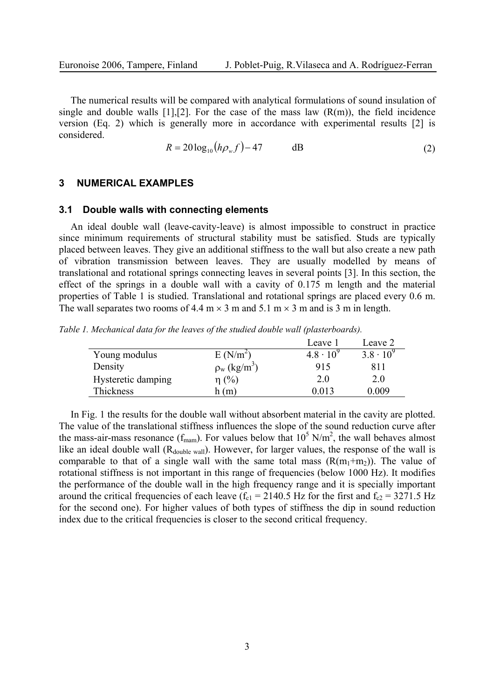The numerical results will be compared with analytical formulations of sound insulation of single and double walls  $[1]$ ,  $[2]$ . For the case of the mass law  $(R(m))$ , the field incidence version (Eq. 2) which is generally more in accordance with experimental results [2] is considered.

$$
R = 20\log_{10}(h\rho_w f) - 47 \qquad \qquad \text{dB}
$$

#### **3 NUMERICAL EXAMPLES**

#### **3.1 Double walls with connecting elements**

An ideal double wall (leave-cavity-leave) is almost impossible to construct in practice since minimum requirements of structural stability must be satisfied. Studs are typically placed between leaves. They give an additional stiffness to the wall but also create a new path of vibration transmission between leaves. They are usually modelled by means of translational and rotational springs connecting leaves in several points [3]. In this section, the effect of the springs in a double wall with a cavity of 0.175 m length and the material properties of Table 1 is studied. Translational and rotational springs are placed every 0.6 m. The wall separates two rooms of 4.4 m  $\times$  3 m and 5.1 m  $\times$  3 m and is 3 m in length.

*Table 1. Mechanical data for the leaves of the studied double wall (plasterboards).* 

|                    |                               | Leave 1            | Leave 2            |
|--------------------|-------------------------------|--------------------|--------------------|
| Young modulus      | $E(N/m^2)$                    | $4.8 \cdot 10^{9}$ | $3.8 \cdot 10^{9}$ |
| Density            | $\rho_w$ (kg/m <sup>3</sup> ) | 915                | 811                |
| Hysteretic damping | $\eta$ (%)                    | 2.0                | 2.0                |
| Thickness          | h (m)                         | 0 0 1 3            | 0.009              |

In Fig. 1 the results for the double wall without absorbent material in the cavity are plotted. The value of the translational stiffness influences the slope of the sound reduction curve after the mass-air-mass resonance ( $f_{\text{mam}}$ ). For values below that  $10^5$  N/m<sup>2</sup>, the wall behaves almost like an ideal double wall  $(R_{\text{double wall}})$ . However, for larger values, the response of the wall is comparable to that of a single wall with the same total mass  $(R(m_1+m_2))$ . The value of rotational stiffness is not important in this range of frequencies (below 1000 Hz). It modifies the performance of the double wall in the high frequency range and it is specially important around the critical frequencies of each leave ( $f<sub>c1</sub> = 2140.5$  Hz for the first and  $f<sub>c2</sub> = 3271.5$  Hz for the second one). For higher values of both types of stiffness the dip in sound reduction index due to the critical frequencies is closer to the second critical frequency.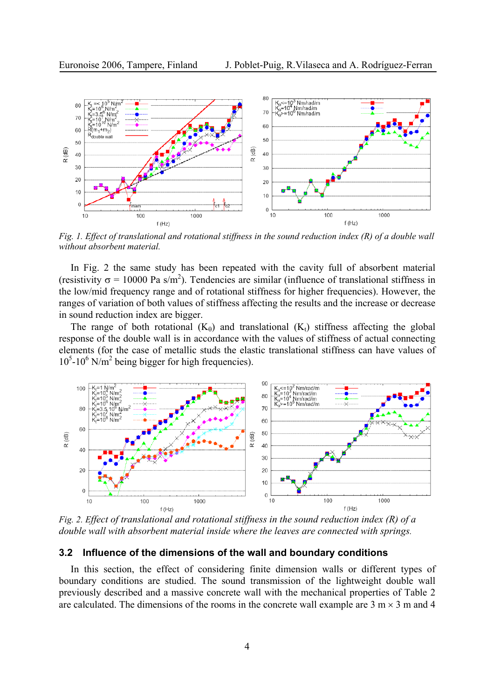

*Fig. 1. Effect of translational and rotational stiffness in the sound reduction index (R) of a double wall without absorbent material.* 

In Fig. 2 the same study has been repeated with the cavity full of absorbent material (resistivity  $\sigma = 10000$  Pa s/m<sup>2</sup>). Tendencies are similar (influence of translational stiffness in the low/mid frequency range and of rotational stiffness for higher frequencies). However, the ranges of variation of both values of stiffness affecting the results and the increase or decrease in sound reduction index are bigger.

The range of both rotational  $(K_{\theta})$  and translational  $(K_{t})$  stiffness affecting the global response of the double wall is in accordance with the values of stiffness of actual connecting elements (for the case of metallic studs the elastic translational stiffness can have values of  $10^5$ -10<sup>6</sup> N/m<sup>2</sup> being bigger for high frequencies).



*Fig. 2. Effect of translational and rotational stiffness in the sound reduction index (R) of a double wall with absorbent material inside where the leaves are connected with springs.*

## **3.2 Influence of the dimensions of the wall and boundary conditions**

In this section, the effect of considering finite dimension walls or different types of boundary conditions are studied. The sound transmission of the lightweight double wall previously described and a massive concrete wall with the mechanical properties of Table 2 are calculated. The dimensions of the rooms in the concrete wall example are  $3 \text{ m} \times 3 \text{ m}$  and 4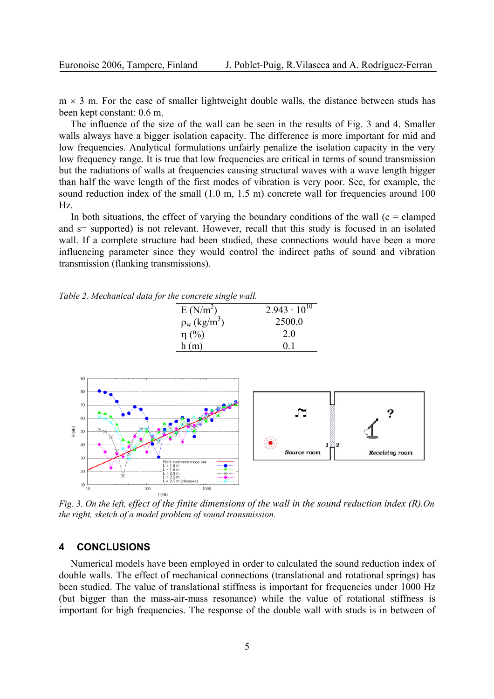$m \times 3$  m. For the case of smaller lightweight double walls, the distance between studs has been kept constant: 0.6 m.

The influence of the size of the wall can be seen in the results of Fig. 3 and 4. Smaller walls always have a bigger isolation capacity. The difference is more important for mid and low frequencies. Analytical formulations unfairly penalize the isolation capacity in the very low frequency range. It is true that low frequencies are critical in terms of sound transmission but the radiations of walls at frequencies causing structural waves with a wave length bigger than half the wave length of the first modes of vibration is very poor. See, for example, the sound reduction index of the small (1.0 m, 1.5 m) concrete wall for frequencies around 100 Hz.

In both situations, the effect of varying the boundary conditions of the wall ( $c = clamped$ ) and  $s=$  supported) is not relevant. However, recall that this study is focused in an isolated wall. If a complete structure had been studied, these connections would have been a more influencing parameter since they would control the indirect paths of sound and vibration transmission (flanking transmissions).

*Table 2. Mechanical data for the concrete single wall.* 

| E(N/m <sup>2</sup> )          | $2.943 \cdot 10^{10}$ |
|-------------------------------|-----------------------|
| $\rho_w$ (kg/m <sup>3</sup> ) | 2500.0                |
| $\eta$ (%)                    | 20                    |
| h(m)                          | 0 <sup>1</sup>        |



*Fig. 3. On the left, effect of the finite dimensions of the wall in the sound reduction index (R).On the right, sketch of a model problem of sound transmission.*

### **4 CONCLUSIONS**

Numerical models have been employed in order to calculated the sound reduction index of double walls. The effect of mechanical connections (translational and rotational springs) has been studied. The value of translational stiffness is important for frequencies under 1000 Hz (but bigger than the mass-air-mass resonance) while the value of rotational stiffness is important for high frequencies. The response of the double wall with studs is in between of